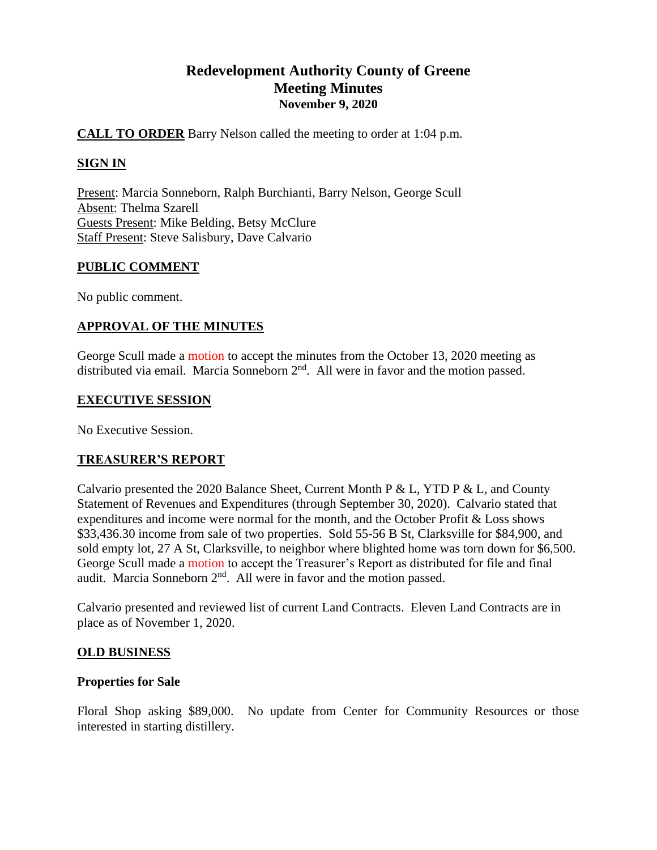# **Redevelopment Authority County of Greene Meeting Minutes November 9, 2020**

# **CALL TO ORDER** Barry Nelson called the meeting to order at 1:04 p.m.

# **SIGN IN**

Present: Marcia Sonneborn, Ralph Burchianti, Barry Nelson, George Scull Absent: Thelma Szarell Guests Present: Mike Belding, Betsy McClure Staff Present: Steve Salisbury, Dave Calvario

## **PUBLIC COMMENT**

No public comment.

## **APPROVAL OF THE MINUTES**

George Scull made a motion to accept the minutes from the October 13, 2020 meeting as distributed via email. Marcia Sonneborn  $2<sup>nd</sup>$ . All were in favor and the motion passed.

#### **EXECUTIVE SESSION**

No Executive Session.

## **TREASURER'S REPORT**

Calvario presented the 2020 Balance Sheet, Current Month P & L, YTD P & L, and County Statement of Revenues and Expenditures (through September 30, 2020). Calvario stated that expenditures and income were normal for the month, and the October Profit & Loss shows \$33,436.30 income from sale of two properties. Sold 55-56 B St, Clarksville for \$84,900, and sold empty lot, 27 A St, Clarksville, to neighbor where blighted home was torn down for \$6,500. George Scull made a motion to accept the Treasurer's Report as distributed for file and final audit. Marcia Sonneborn  $2<sup>nd</sup>$ . All were in favor and the motion passed.

Calvario presented and reviewed list of current Land Contracts. Eleven Land Contracts are in place as of November 1, 2020.

## **OLD BUSINESS**

## **Properties for Sale**

Floral Shop asking \$89,000. No update from Center for Community Resources or those interested in starting distillery.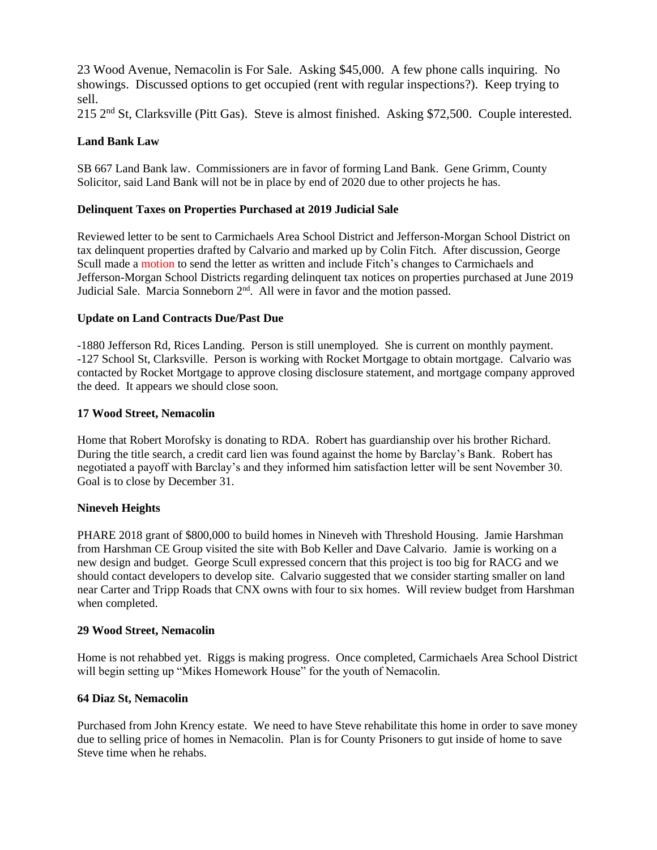23 Wood Avenue, Nemacolin is For Sale. Asking \$45,000. A few phone calls inquiring. No showings. Discussed options to get occupied (rent with regular inspections?). Keep trying to sell.

215 2nd St, Clarksville (Pitt Gas). Steve is almost finished. Asking \$72,500. Couple interested.

#### **Land Bank Law**

SB 667 Land Bank law. Commissioners are in favor of forming Land Bank. Gene Grimm, County Solicitor, said Land Bank will not be in place by end of 2020 due to other projects he has.

#### **Delinquent Taxes on Properties Purchased at 2019 Judicial Sale**

Reviewed letter to be sent to Carmichaels Area School District and Jefferson-Morgan School District on tax delinquent properties drafted by Calvario and marked up by Colin Fitch. After discussion, George Scull made a motion to send the letter as written and include Fitch's changes to Carmichaels and Jefferson-Morgan School Districts regarding delinquent tax notices on properties purchased at June 2019 Judicial Sale. Marcia Sonneborn 2<sup>nd</sup>. All were in favor and the motion passed.

#### **Update on Land Contracts Due/Past Due**

-1880 Jefferson Rd, Rices Landing. Person is still unemployed. She is current on monthly payment. -127 School St, Clarksville. Person is working with Rocket Mortgage to obtain mortgage. Calvario was contacted by Rocket Mortgage to approve closing disclosure statement, and mortgage company approved the deed. It appears we should close soon.

#### **17 Wood Street, Nemacolin**

Home that Robert Morofsky is donating to RDA. Robert has guardianship over his brother Richard. During the title search, a credit card lien was found against the home by Barclay's Bank. Robert has negotiated a payoff with Barclay's and they informed him satisfaction letter will be sent November 30. Goal is to close by December 31.

#### **Nineveh Heights**

PHARE 2018 grant of \$800,000 to build homes in Nineveh with Threshold Housing. Jamie Harshman from Harshman CE Group visited the site with Bob Keller and Dave Calvario. Jamie is working on a new design and budget. George Scull expressed concern that this project is too big for RACG and we should contact developers to develop site. Calvario suggested that we consider starting smaller on land near Carter and Tripp Roads that CNX owns with four to six homes. Will review budget from Harshman when completed.

#### **29 Wood Street, Nemacolin**

Home is not rehabbed yet. Riggs is making progress. Once completed, Carmichaels Area School District will begin setting up "Mikes Homework House" for the youth of Nemacolin.

#### **64 Diaz St, Nemacolin**

Purchased from John Krency estate. We need to have Steve rehabilitate this home in order to save money due to selling price of homes in Nemacolin. Plan is for County Prisoners to gut inside of home to save Steve time when he rehabs.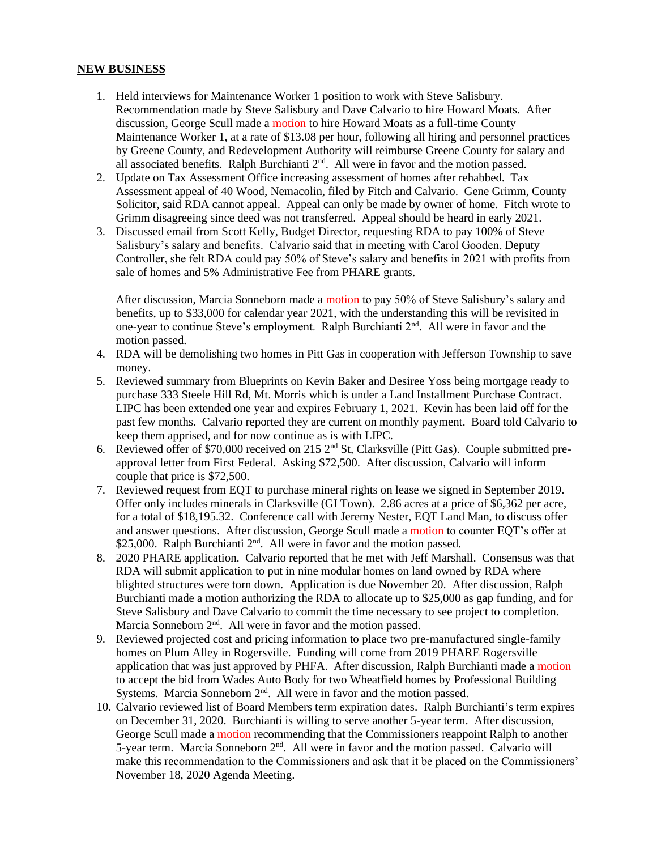#### **NEW BUSINESS**

- 1. Held interviews for Maintenance Worker 1 position to work with Steve Salisbury. Recommendation made by Steve Salisbury and Dave Calvario to hire Howard Moats. After discussion, George Scull made a motion to hire Howard Moats as a full-time County Maintenance Worker 1, at a rate of \$13.08 per hour, following all hiring and personnel practices by Greene County, and Redevelopment Authority will reimburse Greene County for salary and all associated benefits. Ralph Burchianti 2<sup>nd</sup>. All were in favor and the motion passed.
- 2. Update on Tax Assessment Office increasing assessment of homes after rehabbed. Tax Assessment appeal of 40 Wood, Nemacolin, filed by Fitch and Calvario. Gene Grimm, County Solicitor, said RDA cannot appeal. Appeal can only be made by owner of home. Fitch wrote to Grimm disagreeing since deed was not transferred. Appeal should be heard in early 2021.
- 3. Discussed email from Scott Kelly, Budget Director, requesting RDA to pay 100% of Steve Salisbury's salary and benefits. Calvario said that in meeting with Carol Gooden, Deputy Controller, she felt RDA could pay 50% of Steve's salary and benefits in 2021 with profits from sale of homes and 5% Administrative Fee from PHARE grants.

After discussion, Marcia Sonneborn made a motion to pay 50% of Steve Salisbury's salary and benefits, up to \$33,000 for calendar year 2021, with the understanding this will be revisited in one-year to continue Steve's employment. Ralph Burchianti  $2<sup>nd</sup>$ . All were in favor and the motion passed.

- 4. RDA will be demolishing two homes in Pitt Gas in cooperation with Jefferson Township to save money.
- 5. Reviewed summary from Blueprints on Kevin Baker and Desiree Yoss being mortgage ready to purchase 333 Steele Hill Rd, Mt. Morris which is under a Land Installment Purchase Contract. LIPC has been extended one year and expires February 1, 2021. Kevin has been laid off for the past few months. Calvario reported they are current on monthly payment. Board told Calvario to keep them apprised, and for now continue as is with LIPC.
- 6. Reviewed offer of \$70,000 received on 215 2nd St, Clarksville (Pitt Gas). Couple submitted preapproval letter from First Federal. Asking \$72,500. After discussion, Calvario will inform couple that price is \$72,500.
- 7. Reviewed request from EQT to purchase mineral rights on lease we signed in September 2019. Offer only includes minerals in Clarksville (GI Town). 2.86 acres at a price of \$6,362 per acre, for a total of \$18,195.32. Conference call with Jeremy Nester, EQT Land Man, to discuss offer and answer questions. After discussion, George Scull made a motion to counter EQT's offer at \$25,000. Ralph Burchianti 2<sup>nd</sup>. All were in favor and the motion passed.
- 8. 2020 PHARE application. Calvario reported that he met with Jeff Marshall. Consensus was that RDA will submit application to put in nine modular homes on land owned by RDA where blighted structures were torn down. Application is due November 20. After discussion, Ralph Burchianti made a motion authorizing the RDA to allocate up to \$25,000 as gap funding, and for Steve Salisbury and Dave Calvario to commit the time necessary to see project to completion. Marcia Sonneborn 2<sup>nd</sup>. All were in favor and the motion passed.
- 9. Reviewed projected cost and pricing information to place two pre-manufactured single-family homes on Plum Alley in Rogersville. Funding will come from 2019 PHARE Rogersville application that was just approved by PHFA. After discussion, Ralph Burchianti made a motion to accept the bid from Wades Auto Body for two Wheatfield homes by Professional Building Systems. Marcia Sonneborn  $2<sup>nd</sup>$ . All were in favor and the motion passed.
- 10. Calvario reviewed list of Board Members term expiration dates. Ralph Burchianti's term expires on December 31, 2020. Burchianti is willing to serve another 5-year term. After discussion, George Scull made a motion recommending that the Commissioners reappoint Ralph to another 5-year term. Marcia Sonneborn 2<sup>nd</sup>. All were in favor and the motion passed. Calvario will make this recommendation to the Commissioners and ask that it be placed on the Commissioners' November 18, 2020 Agenda Meeting.